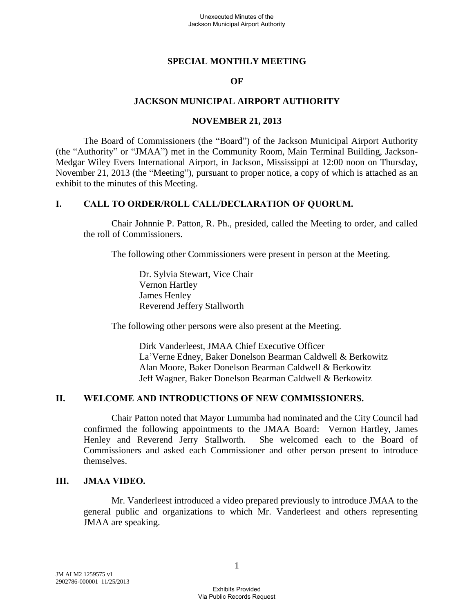## **SPECIAL MONTHLY MEETING**

#### **OF**

## **JACKSON MUNICIPAL AIRPORT AUTHORITY**

#### **NOVEMBER 21, 2013**

The Board of Commissioners (the "Board") of the Jackson Municipal Airport Authority (the "Authority" or "JMAA") met in the Community Room, Main Terminal Building, Jackson-Medgar Wiley Evers International Airport, in Jackson, Mississippi at 12:00 noon on Thursday, November 21, 2013 (the "Meeting"), pursuant to proper notice, a copy of which is attached as an exhibit to the minutes of this Meeting.

#### **I. CALL TO ORDER/ROLL CALL/DECLARATION OF QUORUM.**

Chair Johnnie P. Patton, R. Ph., presided, called the Meeting to order, and called the roll of Commissioners.

The following other Commissioners were present in person at the Meeting.

Dr. Sylvia Stewart, Vice Chair Vernon Hartley James Henley Reverend Jeffery Stallworth

The following other persons were also present at the Meeting.

Dirk Vanderleest, JMAA Chief Executive Officer La'Verne Edney, Baker Donelson Bearman Caldwell & Berkowitz Alan Moore, Baker Donelson Bearman Caldwell & Berkowitz Jeff Wagner, Baker Donelson Bearman Caldwell & Berkowitz

## **II. WELCOME AND INTRODUCTIONS OF NEW COMMISSIONERS.**

Chair Patton noted that Mayor Lumumba had nominated and the City Council had confirmed the following appointments to the JMAA Board: Vernon Hartley, James Henley and Reverend Jerry Stallworth. She welcomed each to the Board of Commissioners and asked each Commissioner and other person present to introduce themselves.

## **III. JMAA VIDEO.**

Mr. Vanderleest introduced a video prepared previously to introduce JMAA to the general public and organizations to which Mr. Vanderleest and others representing JMAA are speaking.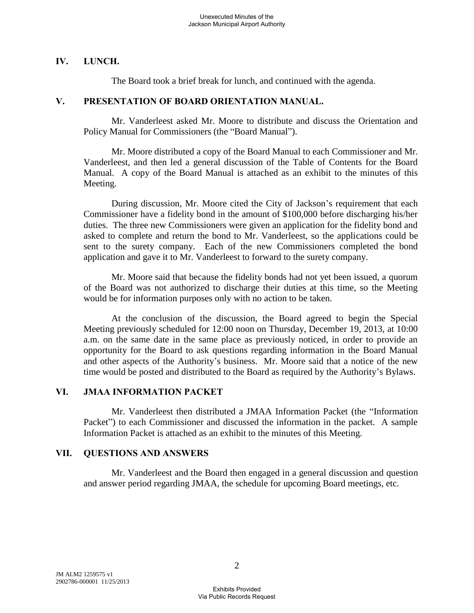## **IV. LUNCH.**

The Board took a brief break for lunch, and continued with the agenda.

#### **V. PRESENTATION OF BOARD ORIENTATION MANUAL.**

Mr. Vanderleest asked Mr. Moore to distribute and discuss the Orientation and Policy Manual for Commissioners (the "Board Manual").

Mr. Moore distributed a copy of the Board Manual to each Commissioner and Mr. Vanderleest, and then led a general discussion of the Table of Contents for the Board Manual. A copy of the Board Manual is attached as an exhibit to the minutes of this Meeting.

During discussion, Mr. Moore cited the City of Jackson's requirement that each Commissioner have a fidelity bond in the amount of \$100,000 before discharging his/her duties. The three new Commissioners were given an application for the fidelity bond and asked to complete and return the bond to Mr. Vanderleest, so the applications could be sent to the surety company. Each of the new Commissioners completed the bond application and gave it to Mr. Vanderleest to forward to the surety company.

Mr. Moore said that because the fidelity bonds had not yet been issued, a quorum of the Board was not authorized to discharge their duties at this time, so the Meeting would be for information purposes only with no action to be taken.

At the conclusion of the discussion, the Board agreed to begin the Special Meeting previously scheduled for 12:00 noon on Thursday, December 19, 2013, at 10:00 a.m. on the same date in the same place as previously noticed, in order to provide an opportunity for the Board to ask questions regarding information in the Board Manual and other aspects of the Authority's business. Mr. Moore said that a notice of the new time would be posted and distributed to the Board as required by the Authority's Bylaws.

## **VI. JMAA INFORMATION PACKET**

Mr. Vanderleest then distributed a JMAA Information Packet (the "Information Packet") to each Commissioner and discussed the information in the packet. A sample Information Packet is attached as an exhibit to the minutes of this Meeting.

## **VII. QUESTIONS AND ANSWERS**

Mr. Vanderleest and the Board then engaged in a general discussion and question and answer period regarding JMAA, the schedule for upcoming Board meetings, etc.